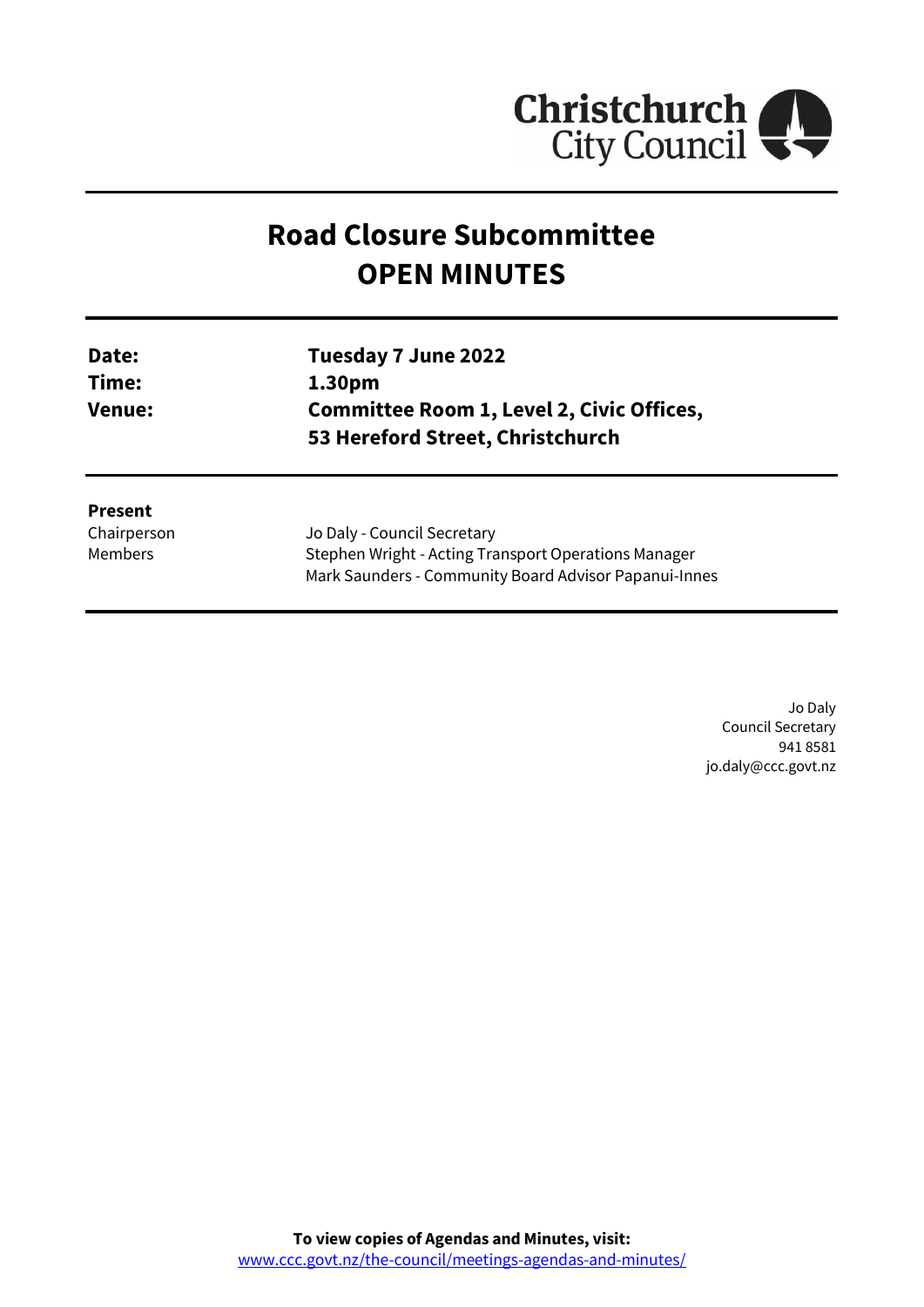

# **Road Closure Subcommittee OPEN MINUTES**

| Date:<br>Time: | Tuesday 7 June 2022<br>1.30pm |
|----------------|-------------------------------|
|                |                               |
| <b>Present</b> |                               |

Chairperson Members

Jo Daly - Council Secretary Stephen Wright - Acting Transport Operations Manager Mark Saunders - Community Board Advisor Papanui-Innes

> Jo Daly Council Secretary 941 8581 jo.daly@ccc.govt.nz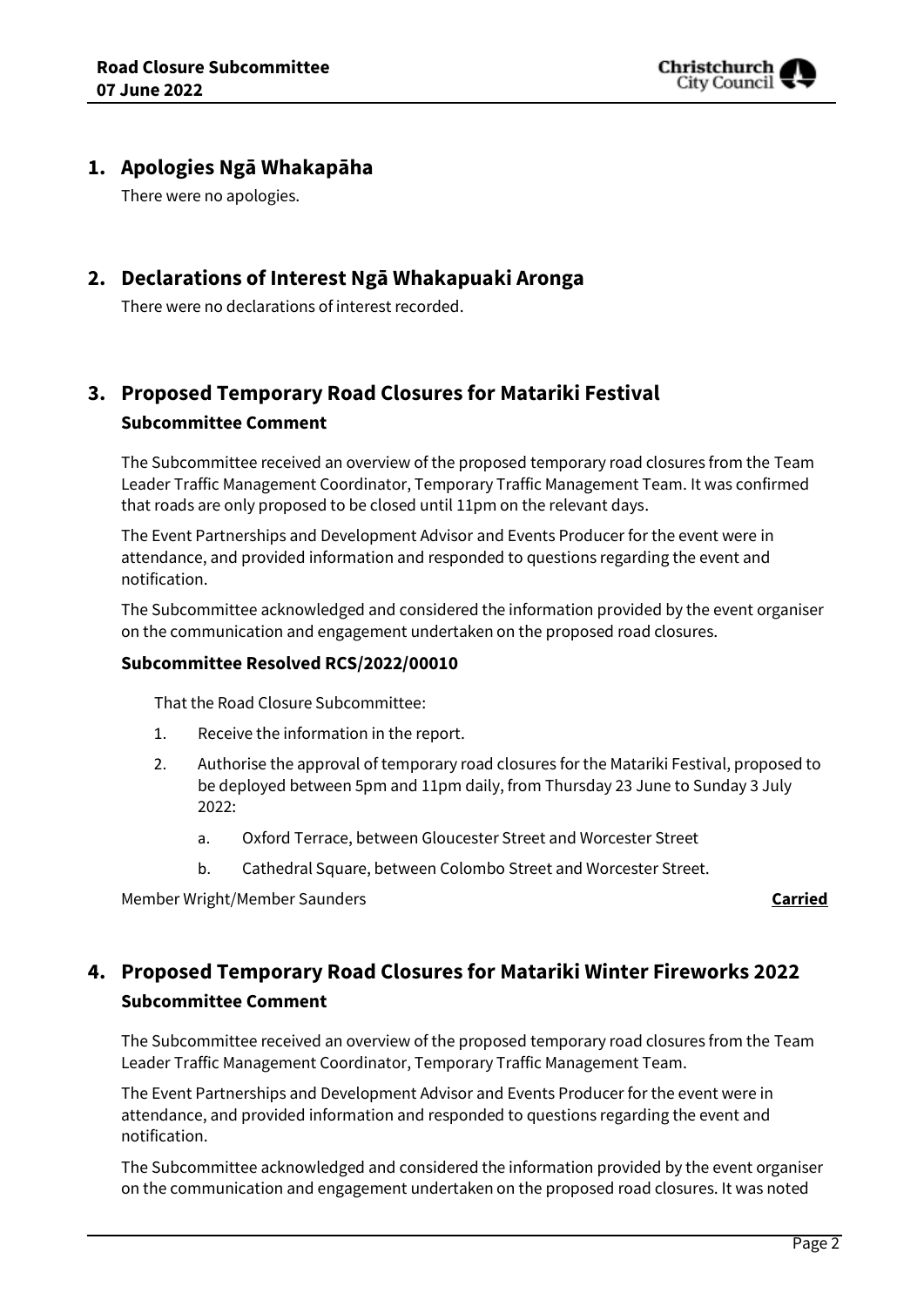

## **1. Apologies Ngā Whakapāha**

There were no apologies.

## **2. Declarations of Interest Ngā Whakapuaki Aronga**

There were no declarations of interest recorded.

## **3. Proposed Temporary Road Closures for Matariki Festival Subcommittee Comment**

The Subcommittee received an overview of the proposed temporary road closures from the Team Leader Traffic Management Coordinator, Temporary Traffic Management Team. It was confirmed that roads are only proposed to be closed until 11pm on the relevant days.

The Event Partnerships and Development Advisor and Events Producer for the event were in attendance, and provided information and responded to questions regarding the event and notification.

The Subcommittee acknowledged and considered the information provided by the event organiser on the communication and engagement undertaken on the proposed road closures.

#### **Subcommittee Resolved RCS/2022/00010**

That the Road Closure Subcommittee:

- 1. Receive the information in the report.
- 2. Authorise the approval of temporary road closures for the Matariki Festival, proposed to be deployed between 5pm and 11pm daily, from Thursday 23 June to Sunday 3 July 2022:
	- a. Oxford Terrace, between Gloucester Street and Worcester Street
	- b. Cathedral Square, between Colombo Street and Worcester Street.

Member Wright/Member Saunders **Carried**

## **4. Proposed Temporary Road Closures for Matariki Winter Fireworks 2022 Subcommittee Comment**

The Subcommittee received an overview of the proposed temporary road closures from the Team Leader Traffic Management Coordinator, Temporary Traffic Management Team.

The Event Partnerships and Development Advisor and Events Producer for the event were in attendance, and provided information and responded to questions regarding the event and notification.

The Subcommittee acknowledged and considered the information provided by the event organiser on the communication and engagement undertaken on the proposed road closures. It was noted